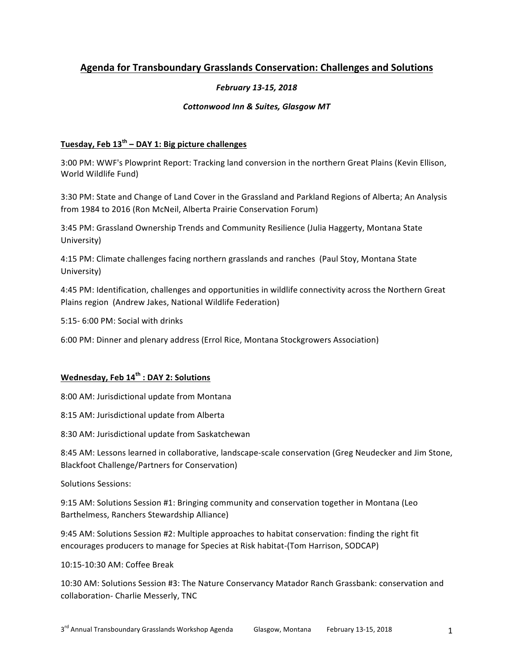# **Agenda for Transboundary Grasslands Conservation: Challenges and Solutions**

### *February 13-15, 2018*

#### **Cottonwood Inn & Suites, Glasgow MT**

## **Tuesday, Feb 13th – DAY 1: Big picture challenges**

3:00 PM: WWF's Plowprint Report: Tracking land conversion in the northern Great Plains (Kevin Ellison, World Wildlife Fund)

3:30 PM: State and Change of Land Cover in the Grassland and Parkland Regions of Alberta; An Analysis from 1984 to 2016 (Ron McNeil, Alberta Prairie Conservation Forum)

3:45 PM: Grassland Ownership Trends and Community Resilience (Julia Haggerty, Montana State University)

4:15 PM: Climate challenges facing northern grasslands and ranches (Paul Stoy, Montana State University)

4:45 PM: Identification, challenges and opportunities in wildlife connectivity across the Northern Great Plains region (Andrew Jakes, National Wildlife Federation)

5:15- 6:00 PM: Social with drinks

6:00 PM: Dinner and plenary address (Errol Rice, Montana Stockgrowers Association)

#### Wednesday, Feb  $14^{th}$  **: DAY 2: Solutions**

8:00 AM: Jurisdictional update from Montana

8:15 AM: Jurisdictional update from Alberta

8:30 AM: Jurisdictional update from Saskatchewan

8:45 AM: Lessons learned in collaborative, landscape-scale conservation (Greg Neudecker and Jim Stone, Blackfoot Challenge/Partners for Conservation)

Solutions Sessions:

9:15 AM: Solutions Session #1: Bringing community and conservation together in Montana (Leo Barthelmess, Ranchers Stewardship Alliance)

9:45 AM: Solutions Session #2: Multiple approaches to habitat conservation: finding the right fit encourages producers to manage for Species at Risk habitat-(Tom Harrison, SODCAP)

10:15-10:30 AM: Coffee Break

10:30 AM: Solutions Session #3: The Nature Conservancy Matador Ranch Grassbank: conservation and collaboration- Charlie Messerly, TNC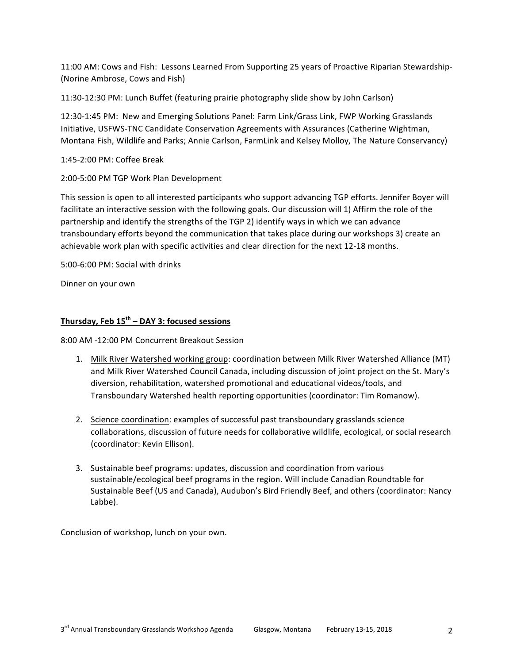11:00 AM: Cows and Fish: Lessons Learned From Supporting 25 years of Proactive Riparian Stewardship-(Norine Ambrose, Cows and Fish)

11:30-12:30 PM: Lunch Buffet (featuring prairie photography slide show by John Carlson)

12:30-1:45 PM: New and Emerging Solutions Panel: Farm Link/Grass Link, FWP Working Grasslands Initiative, USFWS-TNC Candidate Conservation Agreements with Assurances (Catherine Wightman, Montana Fish, Wildlife and Parks; Annie Carlson, FarmLink and Kelsey Molloy, The Nature Conservancy)

1:45-2:00 PM: Coffee Break

2:00-5:00 PM TGP Work Plan Development

This session is open to all interested participants who support advancing TGP efforts. Jennifer Boyer will facilitate an interactive session with the following goals. Our discussion will 1) Affirm the role of the partnership and identify the strengths of the TGP 2) identify ways in which we can advance transboundary efforts beyond the communication that takes place during our workshops 3) create an achievable work plan with specific activities and clear direction for the next 12-18 months.

5:00-6:00 PM: Social with drinks

Dinner on your own

# **Thursday, Feb 15th – DAY 3: focused sessions**

8:00 AM -12:00 PM Concurrent Breakout Session

- 1. Milk River Watershed working group: coordination between Milk River Watershed Alliance (MT) and Milk River Watershed Council Canada, including discussion of joint project on the St. Mary's diversion, rehabilitation, watershed promotional and educational videos/tools, and Transboundary Watershed health reporting opportunities (coordinator: Tim Romanow).
- 2. Science coordination: examples of successful past transboundary grasslands science collaborations, discussion of future needs for collaborative wildlife, ecological, or social research (coordinator: Kevin Ellison).
- 3. Sustainable beef programs: updates, discussion and coordination from various sustainable/ecological beef programs in the region. Will include Canadian Roundtable for Sustainable Beef (US and Canada), Audubon's Bird Friendly Beef, and others (coordinator: Nancy Labbe).

Conclusion of workshop, lunch on your own.